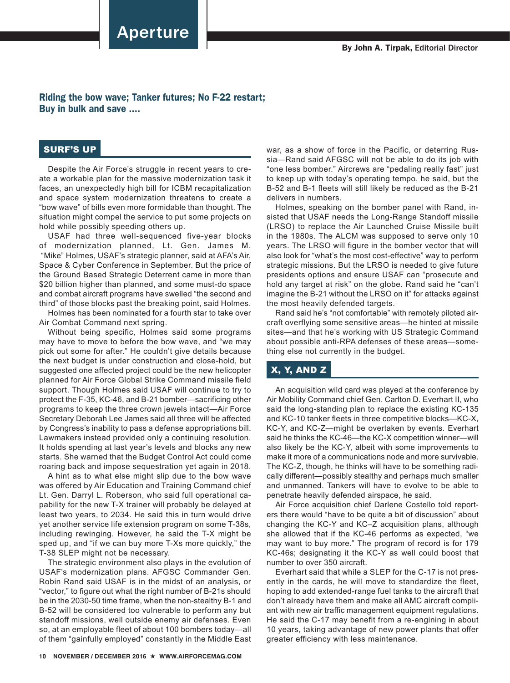Aperture

Riding the bow wave; Tanker futures; No F-22 restart; Buy in bulk and save ....

## SURF'S UP

Despite the Air Force's struggle in recent years to create a workable plan for the massive modernization task it faces, an unexpectedly high bill for ICBM recapitalization and space system modernization threatens to create a "bow wave" of bills even more formidable than thought. The situation might compel the service to put some projects on hold while possibly speeding others up.

USAF had three well-sequenced five-year blocks of modernization planned, Lt. Gen. James M. "Mike" Holmes, USAF's strategic planner, said at AFA's Air, Space & Cyber Conference in September. But the price of the Ground Based Strategic Deterrent came in more than \$20 billion higher than planned, and some must-do space and combat aircraft programs have swelled "the second and third" of those blocks past the breaking point, said Holmes.

Holmes has been nominated for a fourth star to take over Air Combat Command next spring.

Without being specific, Holmes said some programs may have to move to before the bow wave, and "we may pick out some for after." He couldn't give details because the next budget is under construction and close-hold, but suggested one affected project could be the new helicopter planned for Air Force Global Strike Command missile field support. Though Holmes said USAF will continue to try to protect the F-35, KC-46, and B-21 bomber—sacrificing other programs to keep the three crown jewels intact—Air Force Secretary Deborah Lee James said all three will be affected by Congress's inability to pass a defense appropriations bill. Lawmakers instead provided only a continuing resolution. It holds spending at last year's levels and blocks any new starts. She warned that the Budget Control Act could come roaring back and impose sequestration yet again in 2018.

A hint as to what else might slip due to the bow wave was offered by Air Education and Training Command chief Lt. Gen. Darryl L. Roberson, who said full operational capability for the new T-X trainer will probably be delayed at least two years, to 2034. He said this in turn would drive yet another service life extension program on some T-38s, including rewinging. However, he said the T-X might be sped up, and "if we can buy more T-Xs more quickly," the T-38 SLEP might not be necessary.

The strategic environment also plays in the evolution of USAF's modernization plans. AFGSC Commander Gen. Robin Rand said USAF is in the midst of an analysis, or "vector," to figure out what the right number of B-21s should be in the 2030-50 time frame, when the non-stealthy B-1 and B-52 will be considered too vulnerable to perform any but standoff missions, well outside enemy air defenses. Even so, at an employable fleet of about 100 bombers today—all of them "gainfully employed" constantly in the Middle East

war, as a show of force in the Pacific, or deterring Russia—Rand said AFGSC will not be able to do its job with "one less bomber." Aircrews are "pedaling really fast" just to keep up with today's operating tempo, he said, but the B-52 and B-1 fleets will still likely be reduced as the B-21 delivers in numbers.

Holmes, speaking on the bomber panel with Rand, insisted that USAF needs the Long-Range Standoff missile (LRSO) to replace the Air Launched Cruise Missile built in the 1980s. The ALCM was supposed to serve only 10 years. The LRSO will figure in the bomber vector that will also look for "what's the most cost-effective" way to perform strategic missions. But the LRSO is needed to give future presidents options and ensure USAF can "prosecute and hold any target at risk" on the globe. Rand said he "can't imagine the B-21 without the LRSO on it" for attacks against the most heavily defended targets.

Rand said he's "not comfortable" with remotely piloted aircraft overflying some sensitive areas—he hinted at missile sites—and that he's working with US Strategic Command about possible anti-RPA defenses of these areas—something else not currently in the budget.

## X, Y, AND Z

An acquisition wild card was played at the conference by Air Mobility Command chief Gen. Carlton D. Everhart II, who said the long-standing plan to replace the existing KC-135 and KC-10 tanker fleets in three competitive blocks—KC-X, KC-Y, and KC-Z—might be overtaken by events. Everhart said he thinks the KC-46—the KC-X competition winner—will also likely be the KC-Y, albeit with some improvements to make it more of a communications node and more survivable. The KC-Z, though, he thinks will have to be something radically different—possibly stealthy and perhaps much smaller and unmanned. Tankers will have to evolve to be able to penetrate heavily defended airspace, he said.

Air Force acquisition chief Darlene Costello told reporters there would "have to be quite a bit of discussion" about changing the KC-Y and KC–Z acquisition plans, although she allowed that if the KC-46 performs as expected, "we may want to buy more." The program of record is for 179 KC-46s; designating it the KC-Y as well could boost that number to over 350 aircraft.

Everhart said that while a SLEP for the C-17 is not presently in the cards, he will move to standardize the fleet, hoping to add extended-range fuel tanks to the aircraft that don't already have them and make all AMC aircraft compliant with new air traffic management equipment regulations. He said the C-17 may benefit from a re-engining in about 10 years, taking advantage of new power plants that offer greater efficiency with less maintenance.